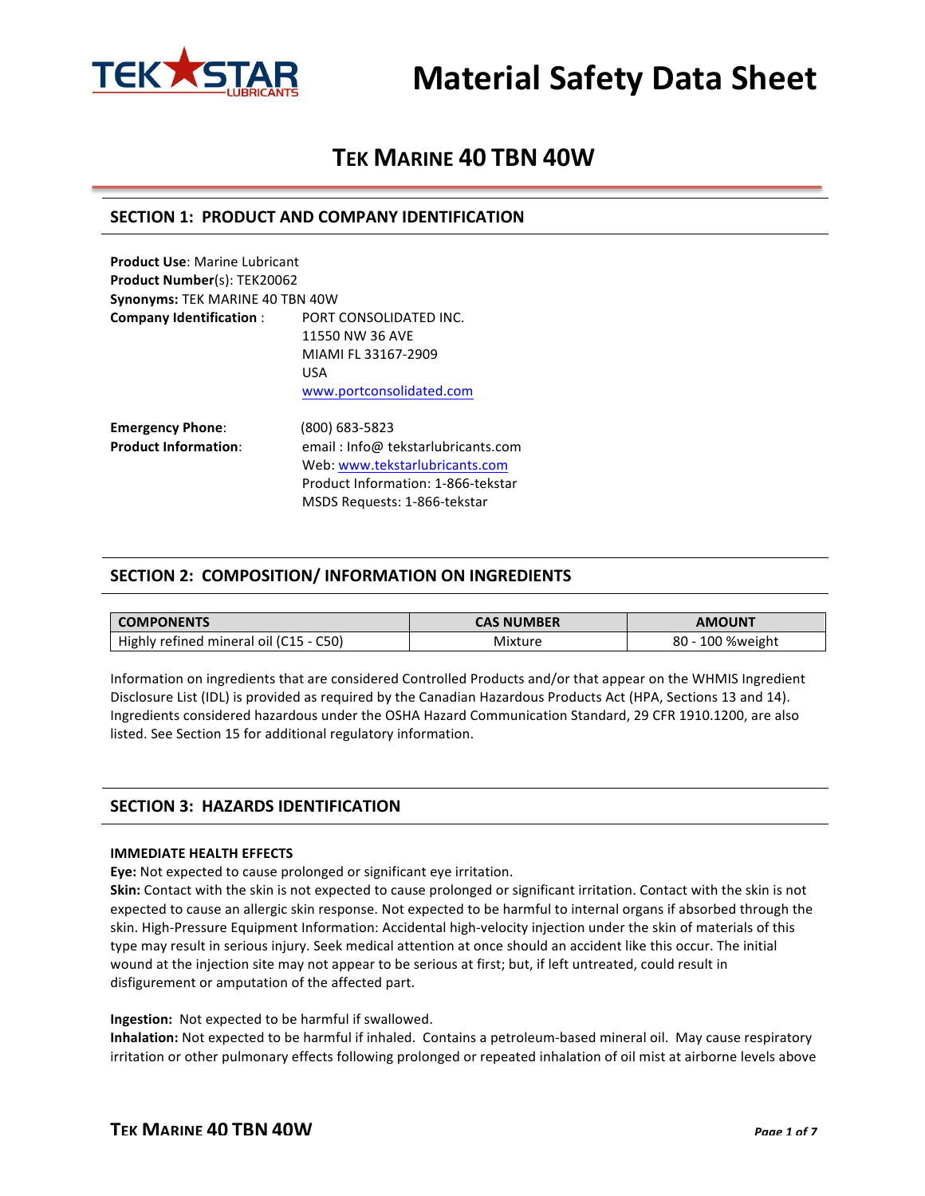

# **TEK MARINE 40 TBN 40W**

## **SECTION 1: PRODUCT AND COMPANY IDENTIFICATION**

**Product Use: Marine Lubricant Product Number(s): TEK20062 Synonyms: TEK MARINE 40 TBN 40W Company Identification : PORT CONSOLIDATED INC.** 11550 NW 36 AVE MIAMI FL 33167-2909 USA www.portconsolidated.com **Emergency Phone**: (800) 683-5823

| $\mathbf{r}$                | ,,,,,,,,,,,,,,,,                   |  |  |
|-----------------------------|------------------------------------|--|--|
| <b>Product Information:</b> | email: Info@ tekstarlubricants.com |  |  |
|                             | Web: www.tekstarlubricants.com     |  |  |
|                             | Product Information: 1-866-tekstar |  |  |
|                             | MSDS Requests: 1-866-tekstar       |  |  |

### **SECTION 2: COMPOSITION/ INFORMATION ON INGREDIENTS**

| <b>COMPONENTS</b>                      | <b>CAS NUMBER</b> | <b>AMOUNT</b>    |  |
|----------------------------------------|-------------------|------------------|--|
| Highly refined mineral oil (C15 - C50) | Mixture           | 80 - 100 %weight |  |

Information on ingredients that are considered Controlled Products and/or that appear on the WHMIS Ingredient Disclosure List (IDL) is provided as required by the Canadian Hazardous Products Act (HPA, Sections 13 and 14). Ingredients considered hazardous under the OSHA Hazard Communication Standard, 29 CFR 1910.1200, are also listed. See Section 15 for additional regulatory information.

## **SECTION 3: HAZARDS IDENTIFICATION**

#### **IMMEDIATE HEALTH EFFECTS**

**Eye:** Not expected to cause prolonged or significant eye irritation.

**Skin:** Contact with the skin is not expected to cause prolonged or significant irritation. Contact with the skin is not expected to cause an allergic skin response. Not expected to be harmful to internal organs if absorbed through the skin. High-Pressure Equipment Information: Accidental high-velocity injection under the skin of materials of this type may result in serious injury. Seek medical attention at once should an accident like this occur. The initial wound at the injection site may not appear to be serious at first; but, if left untreated, could result in disfigurement or amputation of the affected part.

#### **Ingestion:** Not expected to be harmful if swallowed.

**Inhalation:** Not expected to be harmful if inhaled. Contains a petroleum-based mineral oil. May cause respiratory irritation or other pulmonary effects following prolonged or repeated inhalation of oil mist at airborne levels above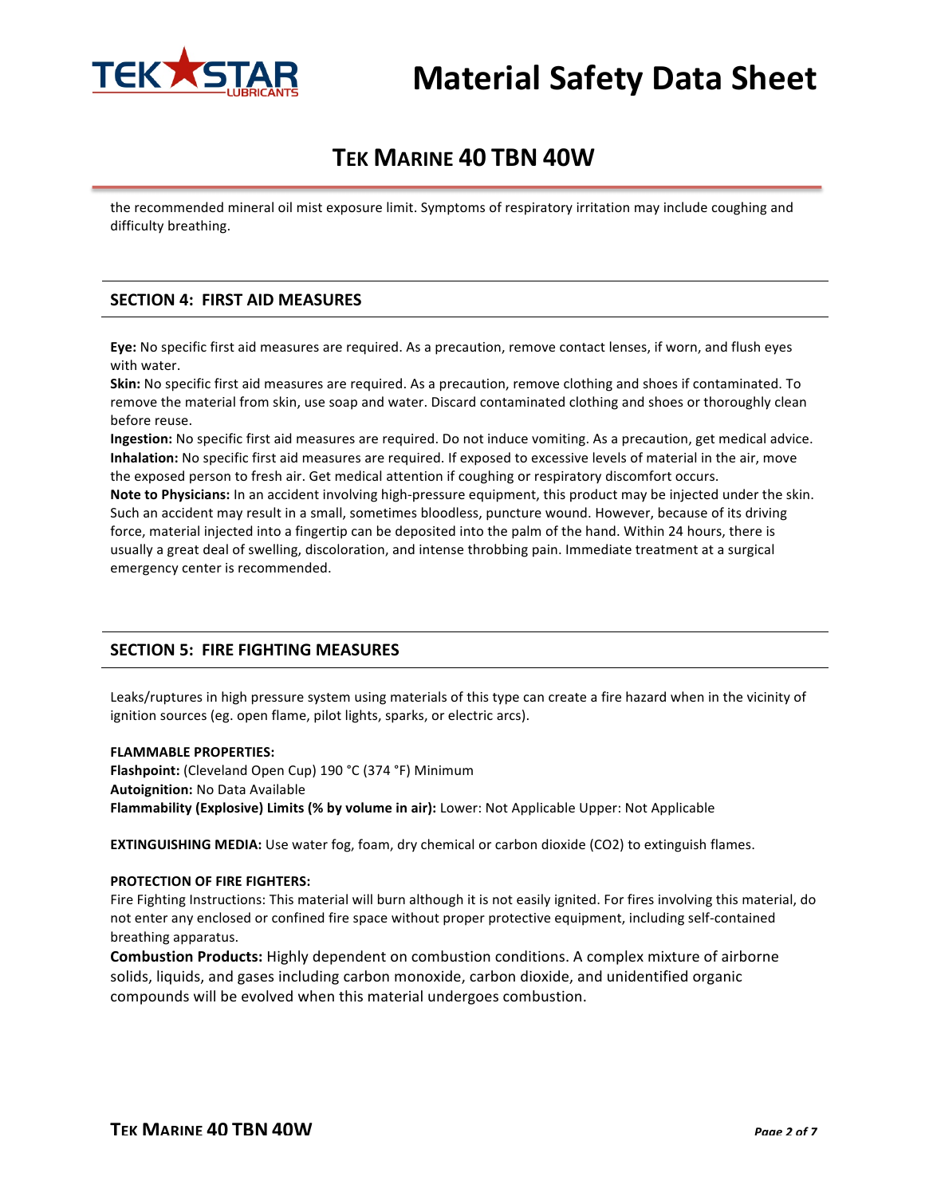

# **TEK MARINE 40 TBN 40W**

the recommended mineral oil mist exposure limit. Symptoms of respiratory irritation may include coughing and difficulty breathing.

### **SECTION 4: FIRST AID MEASURES**

Eye: No specific first aid measures are required. As a precaution, remove contact lenses, if worn, and flush eyes with water.

**Skin:** No specific first aid measures are required. As a precaution, remove clothing and shoes if contaminated. To remove the material from skin, use soap and water. Discard contaminated clothing and shoes or thoroughly clean before reuse.

**Ingestion:** No specific first aid measures are required. Do not induce vomiting. As a precaution, get medical advice. **Inhalation:** No specific first aid measures are required. If exposed to excessive levels of material in the air, move the exposed person to fresh air. Get medical attention if coughing or respiratory discomfort occurs.

**Note to Physicians:** In an accident involving high-pressure equipment, this product may be injected under the skin. Such an accident may result in a small, sometimes bloodless, puncture wound. However, because of its driving force, material injected into a fingertip can be deposited into the palm of the hand. Within 24 hours, there is usually a great deal of swelling, discoloration, and intense throbbing pain. Immediate treatment at a surgical emergency center is recommended.

### **SECTION 5: FIRE FIGHTING MEASURES**

Leaks/ruptures in high pressure system using materials of this type can create a fire hazard when in the vicinity of ignition sources (eg. open flame, pilot lights, sparks, or electric arcs).

#### **FLAMMABLE PROPERTIES:**

**Flashpoint:** (Cleveland Open Cup) 190 °C (374 °F) Minimum **Autoignition:** No Data Available **Flammability (Explosive) Limits (% by volume in air):** Lower: Not Applicable Upper: Not Applicable

**EXTINGUISHING MEDIA:** Use water fog, foam, dry chemical or carbon dioxide (CO2) to extinguish flames.

#### **PROTECTION OF FIRE FIGHTERS:**

Fire Fighting Instructions: This material will burn although it is not easily ignited. For fires involving this material, do not enter any enclosed or confined fire space without proper protective equipment, including self-contained breathing apparatus.

**Combustion Products:** Highly dependent on combustion conditions. A complex mixture of airborne solids, liquids, and gases including carbon monoxide, carbon dioxide, and unidentified organic compounds will be evolved when this material undergoes combustion.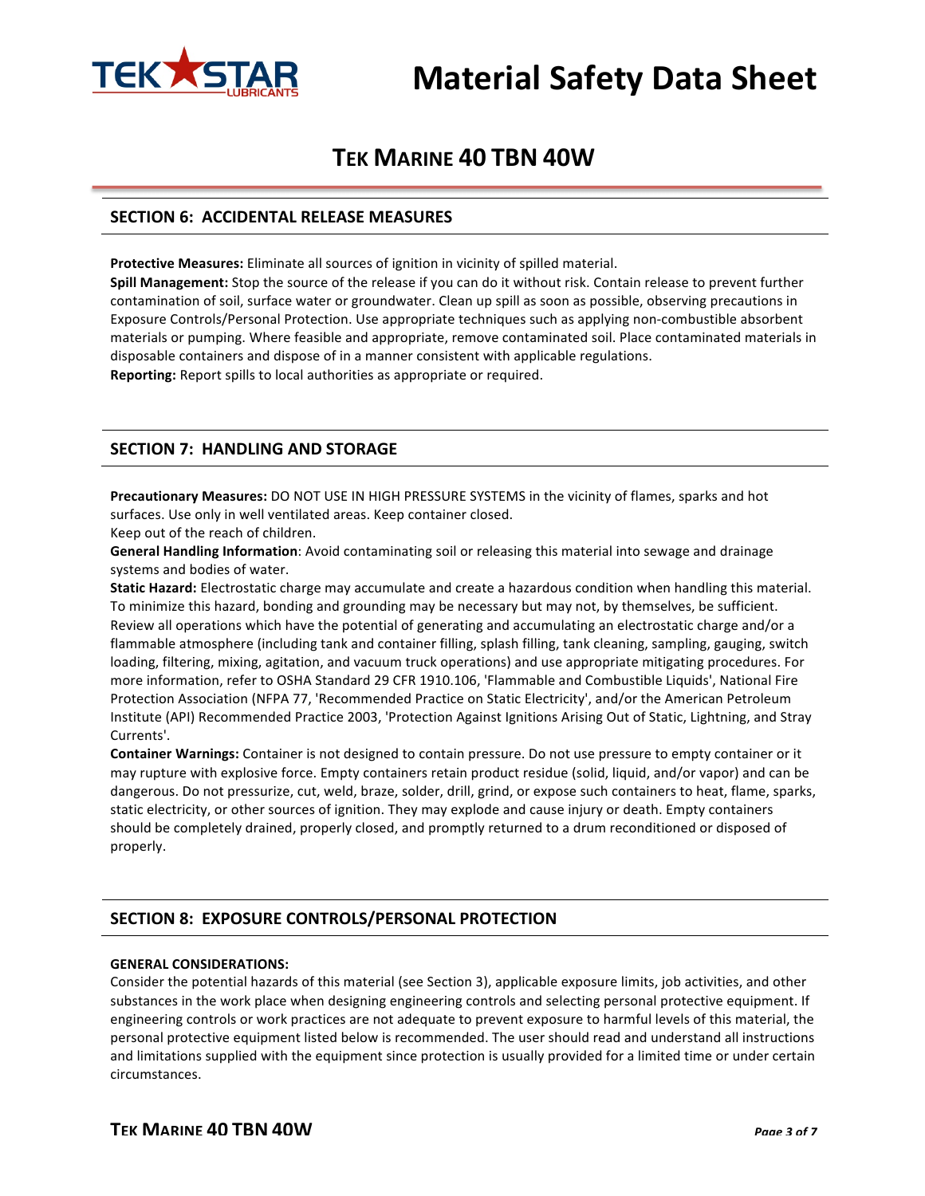

# **TEK MARINE 40 TBN 40W**

### **SECTION 6: ACCIDENTAL RELEASE MEASURES**

Protective Measures: Eliminate all sources of ignition in vicinity of spilled material.

**Spill Management:** Stop the source of the release if you can do it without risk. Contain release to prevent further contamination of soil, surface water or groundwater. Clean up spill as soon as possible, observing precautions in Exposure Controls/Personal Protection. Use appropriate techniques such as applying non-combustible absorbent materials or pumping. Where feasible and appropriate, remove contaminated soil. Place contaminated materials in disposable containers and dispose of in a manner consistent with applicable regulations. **Reporting:** Report spills to local authorities as appropriate or required.

# **SECTION 7: HANDLING AND STORAGE**

**Precautionary Measures:** DO NOT USE IN HIGH PRESSURE SYSTEMS in the vicinity of flames, sparks and hot surfaces. Use only in well ventilated areas. Keep container closed.

Keep out of the reach of children.

**General Handling Information**: Avoid contaminating soil or releasing this material into sewage and drainage systems and bodies of water.

Static Hazard: Electrostatic charge may accumulate and create a hazardous condition when handling this material. To minimize this hazard, bonding and grounding may be necessary but may not, by themselves, be sufficient. Review all operations which have the potential of generating and accumulating an electrostatic charge and/or a flammable atmosphere (including tank and container filling, splash filling, tank cleaning, sampling, gauging, switch loading, filtering, mixing, agitation, and vacuum truck operations) and use appropriate mitigating procedures. For more information, refer to OSHA Standard 29 CFR 1910.106, 'Flammable and Combustible Liquids', National Fire Protection Association (NFPA 77, 'Recommended Practice on Static Electricity', and/or the American Petroleum Institute (API) Recommended Practice 2003, 'Protection Against Ignitions Arising Out of Static, Lightning, and Stray Currents'. 

**Container Warnings:** Container is not designed to contain pressure. Do not use pressure to empty container or it may rupture with explosive force. Empty containers retain product residue (solid, liquid, and/or vapor) and can be dangerous. Do not pressurize, cut, weld, braze, solder, drill, grind, or expose such containers to heat, flame, sparks, static electricity, or other sources of ignition. They may explode and cause injury or death. Empty containers should be completely drained, properly closed, and promptly returned to a drum reconditioned or disposed of properly.

# **SECTION 8: EXPOSURE CONTROLS/PERSONAL PROTECTION**

#### **GENERAL CONSIDERATIONS:**

Consider the potential hazards of this material (see Section 3), applicable exposure limits, job activities, and other substances in the work place when designing engineering controls and selecting personal protective equipment. If engineering controls or work practices are not adequate to prevent exposure to harmful levels of this material, the personal protective equipment listed below is recommended. The user should read and understand all instructions and limitations supplied with the equipment since protection is usually provided for a limited time or under certain circumstances.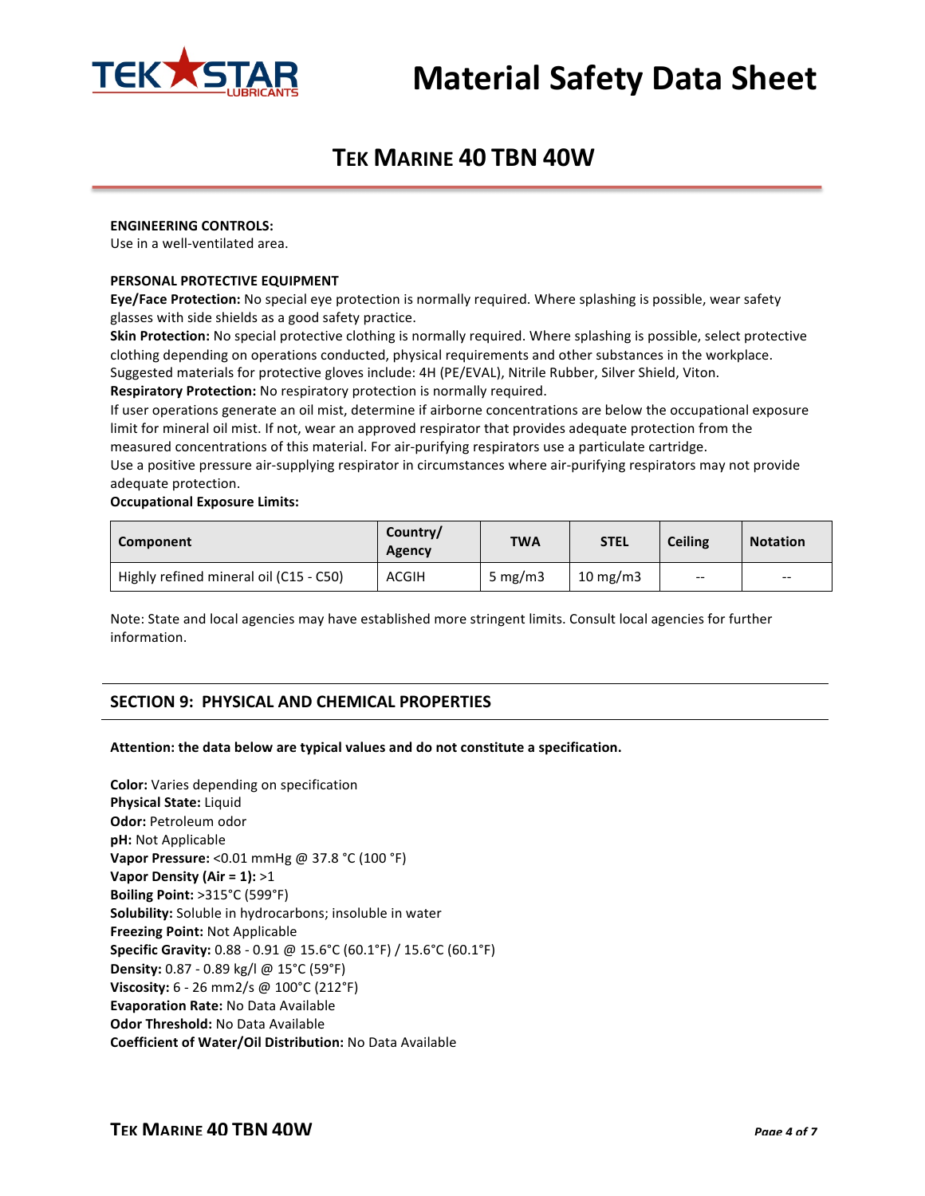

# **TEK MARINE 40 TBN 40W**

#### **ENGINEERING CONTROLS:**

Use in a well-ventilated area.

#### **PERSONAL PROTECTIVE EQUIPMENT**

**Eye/Face Protection:** No special eye protection is normally required. Where splashing is possible, wear safety glasses with side shields as a good safety practice.

**Skin Protection:** No special protective clothing is normally required. Where splashing is possible, select protective clothing depending on operations conducted, physical requirements and other substances in the workplace. Suggested materials for protective gloves include: 4H (PE/EVAL), Nitrile Rubber, Silver Shield, Viton. **Respiratory Protection:** No respiratory protection is normally required.

If user operations generate an oil mist, determine if airborne concentrations are below the occupational exposure limit for mineral oil mist. If not, wear an approved respirator that provides adequate protection from the measured concentrations of this material. For air-purifying respirators use a particulate cartridge.

Use a positive pressure air-supplying respirator in circumstances where air-purifying respirators may not provide adequate protection.

#### **Occupational Exposure Limits:**

| Component                              | Country/<br>Agency | <b>TWA</b> | <b>STEL</b> | <b>Ceiling</b> | <b>Notation</b>               |
|----------------------------------------|--------------------|------------|-------------|----------------|-------------------------------|
| Highly refined mineral oil (C15 - C50) | ACGIH              | 5 mg/m $3$ | 10 mg/m $3$ | $- -$          | $\hspace{0.05cm} \textbf{--}$ |

Note: State and local agencies may have established more stringent limits. Consult local agencies for further information.

# **SECTION 9: PHYSICAL AND CHEMICAL PROPERTIES**

#### Attention: the data below are typical values and do not constitute a specification.

**Color:** Varies depending on specification **Physical State:** Liquid **Odor: Petroleum odor pH:** Not Applicable **Vapor Pressure:** <0.01 mmHg @ 37.8 °C (100 °F) **Vapor Density (Air = 1): >1 Boiling Point:** >315°C (599°F) **Solubility:** Soluble in hydrocarbons; insoluble in water **Freezing Point: Not Applicable Specific Gravity:** 0.88 - 0.91 @ 15.6°C (60.1°F) / 15.6°C (60.1°F) **Density:** 0.87 - 0.89 kg/l @ 15°C (59°F) **Viscosity:** 6 - 26 mm2/s @ 100°C (212°F) **Evaporation Rate: No Data Available Odor Threshold: No Data Available Coefficient of Water/Oil Distribution:** No Data Available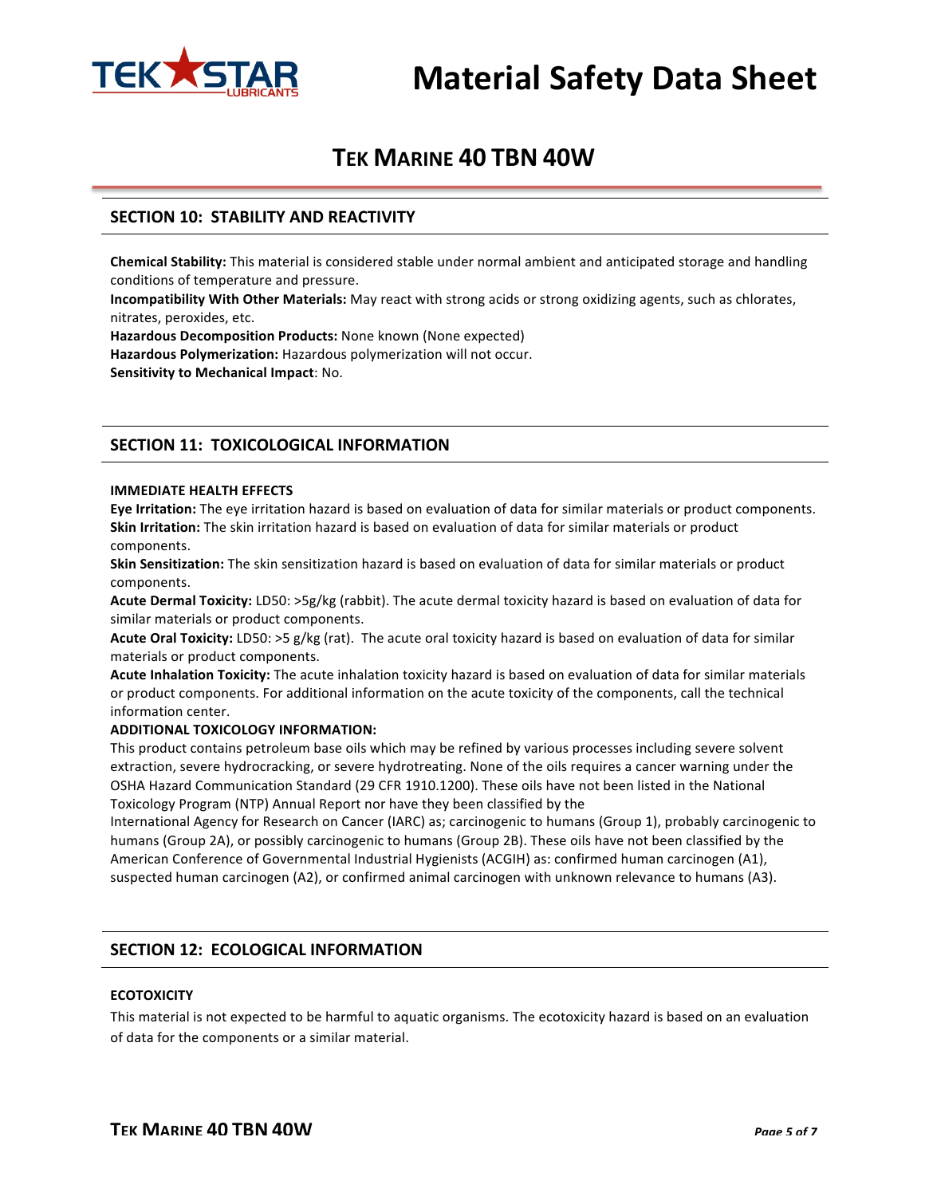

# **TEK MARINE 40 TBN 40W**

# **SECTION 10: STABILITY AND REACTIVITY**

**Chemical Stability:** This material is considered stable under normal ambient and anticipated storage and handling conditions of temperature and pressure.

**Incompatibility With Other Materials:** May react with strong acids or strong oxidizing agents, such as chlorates, nitrates, peroxides, etc.

**Hazardous Decomposition Products:** None known (None expected)

Hazardous Polymerization: Hazardous polymerization will not occur.

**Sensitivity to Mechanical Impact: No.** 

# **SECTION 11: TOXICOLOGICAL INFORMATION**

#### **IMMEDIATE HEALTH EFFECTS**

**Eye Irritation:** The eye irritation hazard is based on evaluation of data for similar materials or product components. **Skin Irritation:** The skin irritation hazard is based on evaluation of data for similar materials or product components.

**Skin Sensitization:** The skin sensitization hazard is based on evaluation of data for similar materials or product components.

**Acute Dermal Toxicity:** LD50: >5g/kg (rabbit). The acute dermal toxicity hazard is based on evaluation of data for similar materials or product components.

Acute Oral Toxicity: LD50: >5 g/kg (rat). The acute oral toxicity hazard is based on evaluation of data for similar materials or product components.

Acute Inhalation Toxicity: The acute inhalation toxicity hazard is based on evaluation of data for similar materials or product components. For additional information on the acute toxicity of the components, call the technical information center.

#### **ADDITIONAL TOXICOLOGY INFORMATION:**

This product contains petroleum base oils which may be refined by various processes including severe solvent extraction, severe hydrocracking, or severe hydrotreating. None of the oils requires a cancer warning under the OSHA Hazard Communication Standard (29 CFR 1910.1200). These oils have not been listed in the National Toxicology Program (NTP) Annual Report nor have they been classified by the

International Agency for Research on Cancer (IARC) as; carcinogenic to humans (Group 1), probably carcinogenic to humans (Group 2A), or possibly carcinogenic to humans (Group 2B). These oils have not been classified by the American Conference of Governmental Industrial Hygienists (ACGIH) as: confirmed human carcinogen (A1), suspected human carcinogen (A2), or confirmed animal carcinogen with unknown relevance to humans (A3).

# **SECTION 12: ECOLOGICAL INFORMATION**

### **ECOTOXICITY**

This material is not expected to be harmful to aquatic organisms. The ecotoxicity hazard is based on an evaluation of data for the components or a similar material.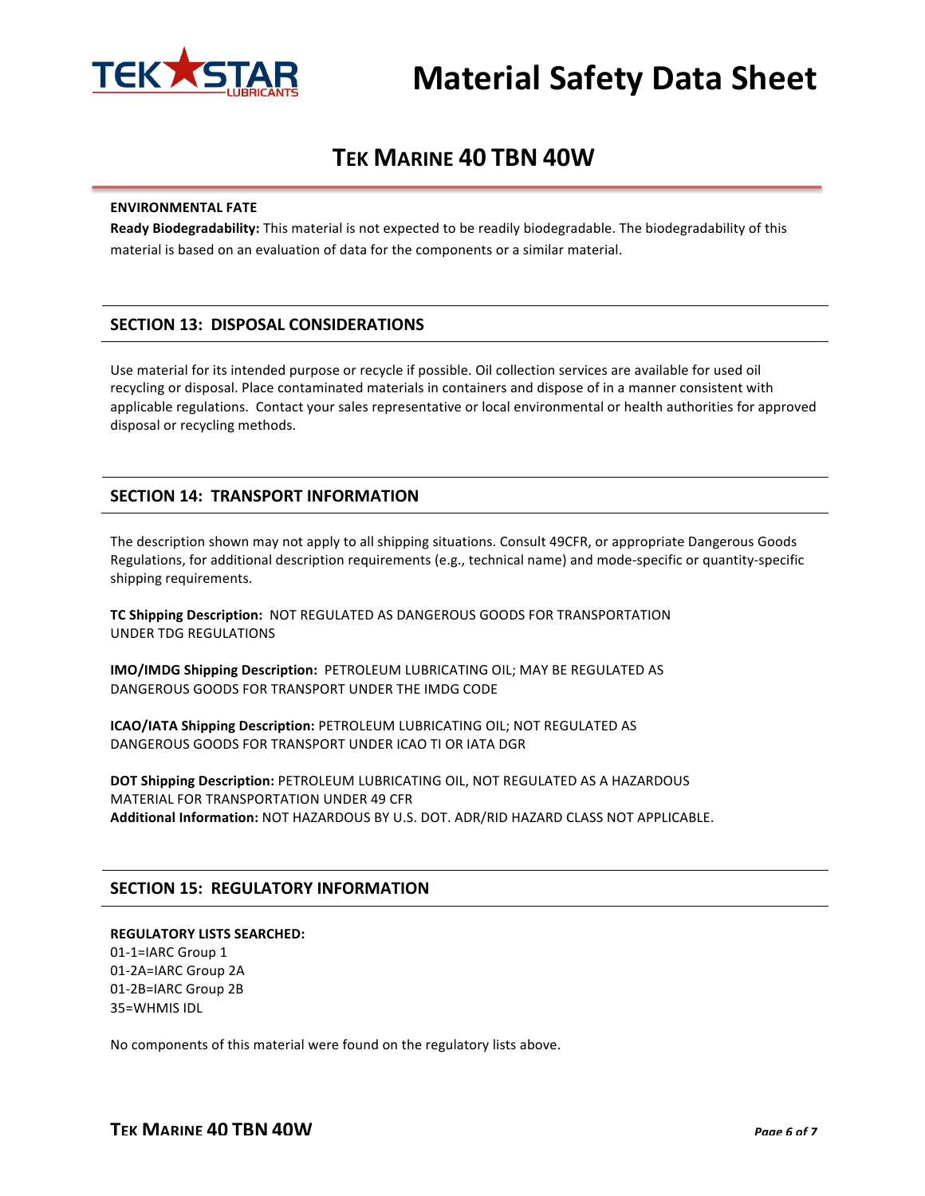

# **TEK MARINE 40 TBN 40W**

#### **ENVIRONMENTAL FATE**

Ready Biodegradability: This material is not expected to be readily biodegradable. The biodegradability of this material is based on an evaluation of data for the components or a similar material.

# **SECTION 13: DISPOSAL CONSIDERATIONS**

Use material for its intended purpose or recycle if possible. Oil collection services are available for used oil recycling or disposal. Place contaminated materials in containers and dispose of in a manner consistent with applicable regulations. Contact your sales representative or local environmental or health authorities for approved disposal or recycling methods.

# **SECTION 14: TRANSPORT INFORMATION**

The description shown may not apply to all shipping situations. Consult 49CFR, or appropriate Dangerous Goods Regulations, for additional description requirements (e.g., technical name) and mode-specific or quantity-specific shipping requirements.

**TC Shipping Description: NOT REGULATED AS DANGEROUS GOODS FOR TRANSPORTATION** UNDER TDG REGULATIONS

**IMO/IMDG Shipping Description: PETROLEUM LUBRICATING OIL; MAY BE REGULATED AS** DANGEROUS GOODS FOR TRANSPORT UNDER THE IMDG CODE

**ICAO/IATA Shipping Description: PETROLEUM LUBRICATING OIL: NOT REGULATED AS** DANGEROUS GOODS FOR TRANSPORT UNDER ICAO TI OR IATA DGR

**DOT Shipping Description: PETROLEUM LUBRICATING OIL, NOT REGULATED AS A HAZARDOUS** MATERIAL FOR TRANSPORTATION UNDER 49 CFR Additional Information: NOT HAZARDOUS BY U.S. DOT. ADR/RID HAZARD CLASS NOT APPLICABLE.

# **SECTION 15: REGULATORY INFORMATION**

#### **REGULATORY LISTS SEARCHED:**

01-1=IARC Group 1 01-2A=IARC Group 2A 01-2B=IARC Group 2B 35=WHMIS IDL

No components of this material were found on the regulatory lists above.